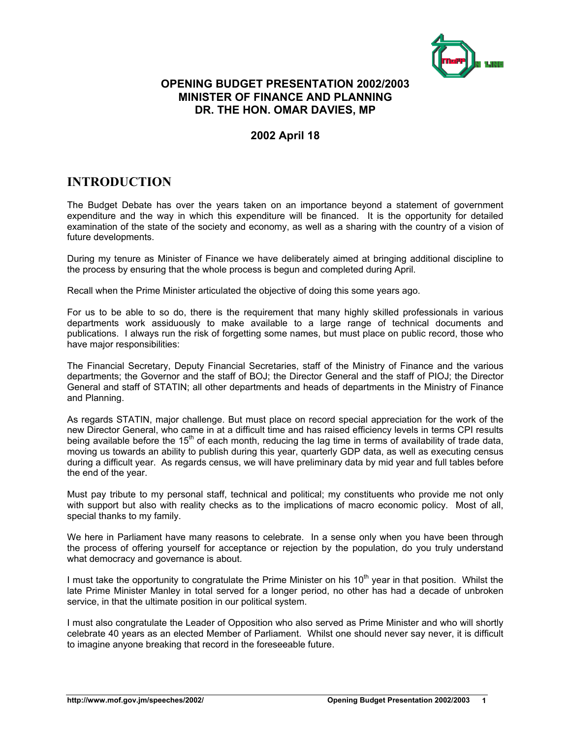

### **OPENING BUDGET PRESENTATION 2002/2003 MINISTER OF FINANCE AND PLANNING DR. THE HON. OMAR DAVIES, MP**

### **2002 April 18**

## **INTRODUCTION**

The Budget Debate has over the years taken on an importance beyond a statement of government expenditure and the way in which this expenditure will be financed. It is the opportunity for detailed examination of the state of the society and economy, as well as a sharing with the country of a vision of future developments.

During my tenure as Minister of Finance we have deliberately aimed at bringing additional discipline to the process by ensuring that the whole process is begun and completed during April.

Recall when the Prime Minister articulated the objective of doing this some years ago.

For us to be able to so do, there is the requirement that many highly skilled professionals in various departments work assiduously to make available to a large range of technical documents and publications. I always run the risk of forgetting some names, but must place on public record, those who have major responsibilities:

The Financial Secretary, Deputy Financial Secretaries, staff of the Ministry of Finance and the various departments; the Governor and the staff of BOJ; the Director General and the staff of PIOJ; the Director General and staff of STATIN; all other departments and heads of departments in the Ministry of Finance and Planning.

As regards STATIN, major challenge. But must place on record special appreciation for the work of the new Director General, who came in at a difficult time and has raised efficiency levels in terms CPI results being available before the  $15<sup>th</sup>$  of each month, reducing the lag time in terms of availability of trade data, moving us towards an ability to publish during this year, quarterly GDP data, as well as executing census during a difficult year. As regards census, we will have preliminary data by mid year and full tables before the end of the year.

Must pay tribute to my personal staff, technical and political; my constituents who provide me not only with support but also with reality checks as to the implications of macro economic policy. Most of all, special thanks to my family.

We here in Parliament have many reasons to celebrate. In a sense only when you have been through the process of offering yourself for acceptance or rejection by the population, do you truly understand what democracy and governance is about.

I must take the opportunity to congratulate the Prime Minister on his  $10<sup>th</sup>$  year in that position. Whilst the late Prime Minister Manley in total served for a longer period, no other has had a decade of unbroken service, in that the ultimate position in our political system.

I must also congratulate the Leader of Opposition who also served as Prime Minister and who will shortly celebrate 40 years as an elected Member of Parliament. Whilst one should never say never, it is difficult to imagine anyone breaking that record in the foreseeable future.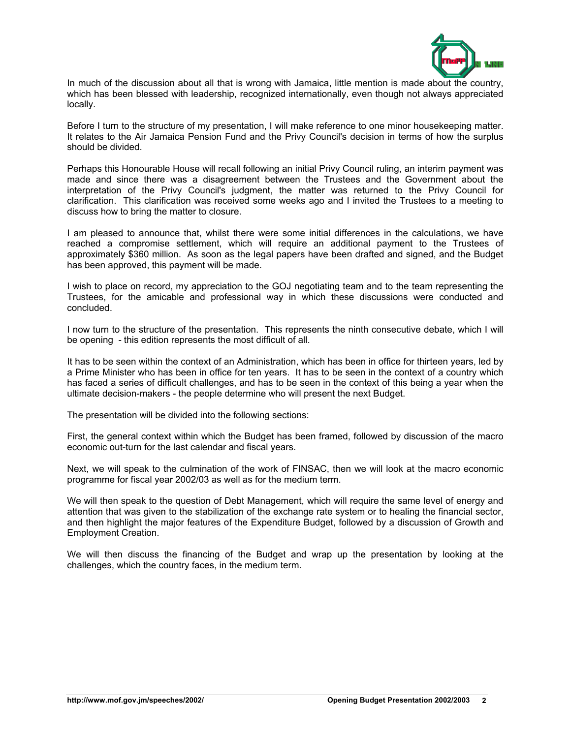

In much of the discussion about all that is wrong with Jamaica, little mention is made about the country, which has been blessed with leadership, recognized internationally, even though not always appreciated locally.

Before I turn to the structure of my presentation, I will make reference to one minor housekeeping matter. It relates to the Air Jamaica Pension Fund and the Privy Council's decision in terms of how the surplus should be divided.

Perhaps this Honourable House will recall following an initial Privy Council ruling, an interim payment was made and since there was a disagreement between the Trustees and the Government about the interpretation of the Privy Council's judgment, the matter was returned to the Privy Council for clarification. This clarification was received some weeks ago and I invited the Trustees to a meeting to discuss how to bring the matter to closure.

I am pleased to announce that, whilst there were some initial differences in the calculations, we have reached a compromise settlement, which will require an additional payment to the Trustees of approximately \$360 million. As soon as the legal papers have been drafted and signed, and the Budget has been approved, this payment will be made.

I wish to place on record, my appreciation to the GOJ negotiating team and to the team representing the Trustees, for the amicable and professional way in which these discussions were conducted and concluded.

I now turn to the structure of the presentation. This represents the ninth consecutive debate, which I will be opening - this edition represents the most difficult of all.

It has to be seen within the context of an Administration, which has been in office for thirteen years, led by a Prime Minister who has been in office for ten years. It has to be seen in the context of a country which has faced a series of difficult challenges, and has to be seen in the context of this being a year when the ultimate decision-makers - the people determine who will present the next Budget.

The presentation will be divided into the following sections:

First, the general context within which the Budget has been framed, followed by discussion of the macro economic out-turn for the last calendar and fiscal years.

Next, we will speak to the culmination of the work of FINSAC, then we will look at the macro economic programme for fiscal year 2002/03 as well as for the medium term.

We will then speak to the question of Debt Management, which will require the same level of energy and attention that was given to the stabilization of the exchange rate system or to healing the financial sector, and then highlight the major features of the Expenditure Budget, followed by a discussion of Growth and Employment Creation.

We will then discuss the financing of the Budget and wrap up the presentation by looking at the challenges, which the country faces, in the medium term.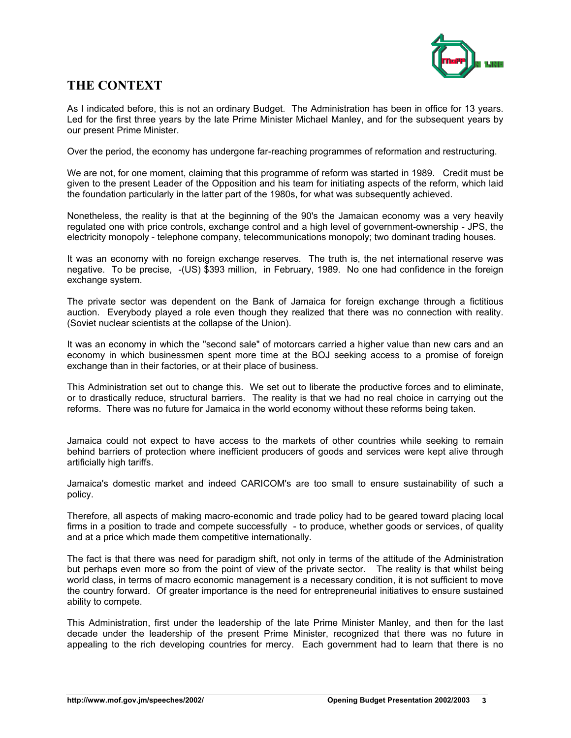

### **THE CONTEXT**

As I indicated before, this is not an ordinary Budget. The Administration has been in office for 13 years. Led for the first three years by the late Prime Minister Michael Manley, and for the subsequent years by our present Prime Minister.

Over the period, the economy has undergone far-reaching programmes of reformation and restructuring.

We are not, for one moment, claiming that this programme of reform was started in 1989. Credit must be given to the present Leader of the Opposition and his team for initiating aspects of the reform, which laid the foundation particularly in the latter part of the 1980s, for what was subsequently achieved.

Nonetheless, the reality is that at the beginning of the 90's the Jamaican economy was a very heavily regulated one with price controls, exchange control and a high level of government-ownership - JPS, the electricity monopoly - telephone company, telecommunications monopoly; two dominant trading houses.

It was an economy with no foreign exchange reserves. The truth is, the net international reserve was negative. To be precise, -(US) \$393 million, in February, 1989. No one had confidence in the foreign exchange system.

The private sector was dependent on the Bank of Jamaica for foreign exchange through a fictitious auction. Everybody played a role even though they realized that there was no connection with reality. (Soviet nuclear scientists at the collapse of the Union).

It was an economy in which the "second sale" of motorcars carried a higher value than new cars and an economy in which businessmen spent more time at the BOJ seeking access to a promise of foreign exchange than in their factories, or at their place of business.

This Administration set out to change this. We set out to liberate the productive forces and to eliminate, or to drastically reduce, structural barriers. The reality is that we had no real choice in carrying out the reforms. There was no future for Jamaica in the world economy without these reforms being taken.

Jamaica could not expect to have access to the markets of other countries while seeking to remain behind barriers of protection where inefficient producers of goods and services were kept alive through artificially high tariffs.

Jamaica's domestic market and indeed CARICOM's are too small to ensure sustainability of such a policy.

Therefore, all aspects of making macro-economic and trade policy had to be geared toward placing local firms in a position to trade and compete successfully - to produce, whether goods or services, of quality and at a price which made them competitive internationally.

The fact is that there was need for paradigm shift, not only in terms of the attitude of the Administration but perhaps even more so from the point of view of the private sector. The reality is that whilst being world class, in terms of macro economic management is a necessary condition, it is not sufficient to move the country forward. Of greater importance is the need for entrepreneurial initiatives to ensure sustained ability to compete.

This Administration, first under the leadership of the late Prime Minister Manley, and then for the last decade under the leadership of the present Prime Minister, recognized that there was no future in appealing to the rich developing countries for mercy. Each government had to learn that there is no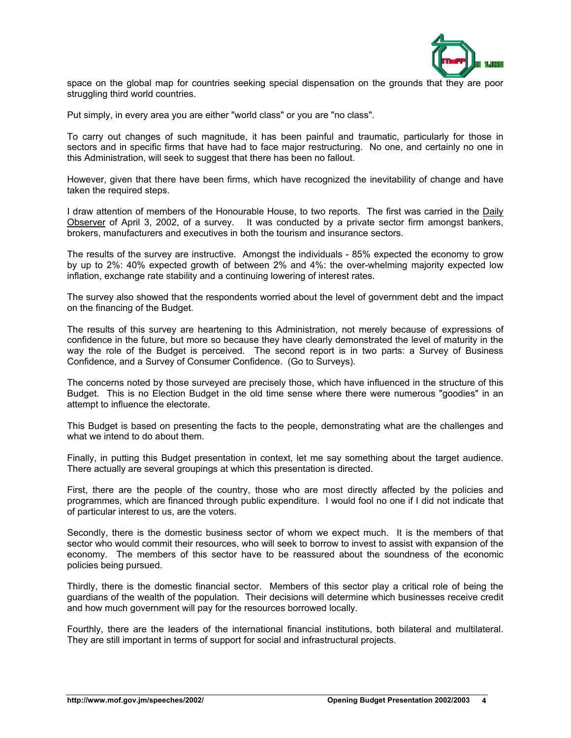

space on the global map for countries seeking special dispensation on the grounds that they are poor struggling third world countries.

Put simply, in every area you are either "world class" or you are "no class".

To carry out changes of such magnitude, it has been painful and traumatic, particularly for those in sectors and in specific firms that have had to face major restructuring. No one, and certainly no one in this Administration, will seek to suggest that there has been no fallout.

However, given that there have been firms, which have recognized the inevitability of change and have taken the required steps.

I draw attention of members of the Honourable House, to two reports. The first was carried in the Daily Observer of April 3, 2002, of a survey. It was conducted by a private sector firm amongst bankers, brokers, manufacturers and executives in both the tourism and insurance sectors.

The results of the survey are instructive. Amongst the individuals - 85% expected the economy to grow by up to 2%: 40% expected growth of between 2% and 4%: the over-whelming majority expected low inflation, exchange rate stability and a continuing lowering of interest rates.

The survey also showed that the respondents worried about the level of government debt and the impact on the financing of the Budget.

The results of this survey are heartening to this Administration, not merely because of expressions of confidence in the future, but more so because they have clearly demonstrated the level of maturity in the way the role of the Budget is perceived. The second report is in two parts: a Survey of Business Confidence, and a Survey of Consumer Confidence. (Go to Surveys).

The concerns noted by those surveyed are precisely those, which have influenced in the structure of this Budget. This is no Election Budget in the old time sense where there were numerous "goodies" in an attempt to influence the electorate.

This Budget is based on presenting the facts to the people, demonstrating what are the challenges and what we intend to do about them.

Finally, in putting this Budget presentation in context, let me say something about the target audience. There actually are several groupings at which this presentation is directed.

First, there are the people of the country, those who are most directly affected by the policies and programmes, which are financed through public expenditure. I would fool no one if I did not indicate that of particular interest to us, are the voters.

Secondly, there is the domestic business sector of whom we expect much. It is the members of that sector who would commit their resources, who will seek to borrow to invest to assist with expansion of the economy. The members of this sector have to be reassured about the soundness of the economic policies being pursued.

Thirdly, there is the domestic financial sector. Members of this sector play a critical role of being the guardians of the wealth of the population. Their decisions will determine which businesses receive credit and how much government will pay for the resources borrowed locally.

Fourthly, there are the leaders of the international financial institutions, both bilateral and multilateral. They are still important in terms of support for social and infrastructural projects.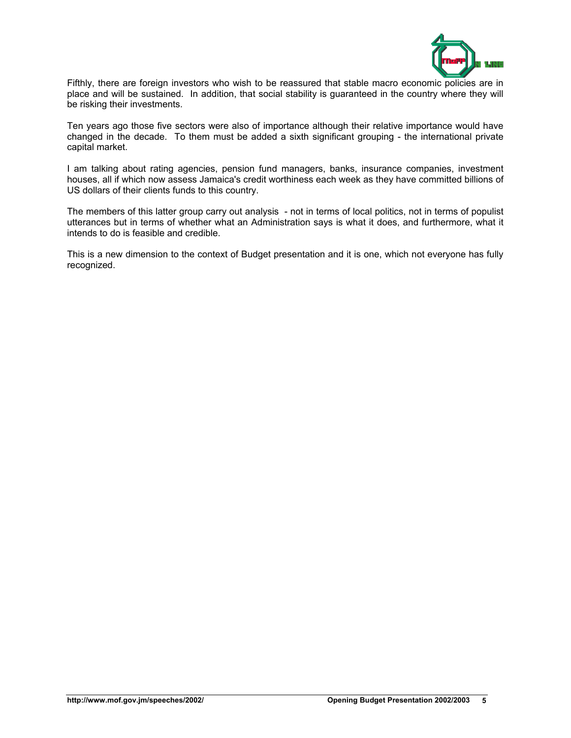

Fifthly, there are foreign investors who wish to be reassured that stable macro economic policies are in place and will be sustained. In addition, that social stability is guaranteed in the country where they will be risking their investments.

Ten years ago those five sectors were also of importance although their relative importance would have changed in the decade. To them must be added a sixth significant grouping - the international private capital market.

I am talking about rating agencies, pension fund managers, banks, insurance companies, investment houses, all if which now assess Jamaica's credit worthiness each week as they have committed billions of US dollars of their clients funds to this country.

The members of this latter group carry out analysis - not in terms of local politics, not in terms of populist utterances but in terms of whether what an Administration says is what it does, and furthermore, what it intends to do is feasible and credible.

This is a new dimension to the context of Budget presentation and it is one, which not everyone has fully recognized.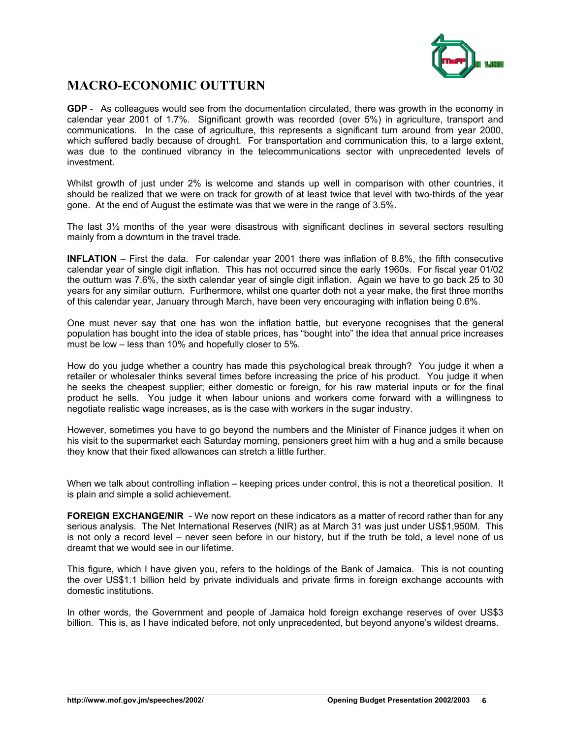

# **MACRO-ECONOMIC OUTTURN**

**GDP** - As colleagues would see from the documentation circulated, there was growth in the economy in calendar year 2001 of 1.7%. Significant growth was recorded (over 5%) in agriculture, transport and communications. In the case of agriculture, this represents a significant turn around from year 2000, which suffered badly because of drought. For transportation and communication this, to a large extent, was due to the continued vibrancy in the telecommunications sector with unprecedented levels of investment.

Whilst growth of just under 2% is welcome and stands up well in comparison with other countries, it should be realized that we were on track for growth of at least twice that level with two-thirds of the year gone. At the end of August the estimate was that we were in the range of 3.5%.

The last 3½ months of the year were disastrous with significant declines in several sectors resulting mainly from a downturn in the travel trade.

**INFLATION** – First the data. For calendar year 2001 there was inflation of 8.8%, the fifth consecutive calendar year of single digit inflation. This has not occurred since the early 1960s. For fiscal year 01/02 the outturn was 7.6%, the sixth calendar year of single digit inflation. Again we have to go back 25 to 30 years for any similar outturn. Furthermore, whilst one quarter doth not a year make, the first three months of this calendar year, January through March, have been very encouraging with inflation being 0.6%.

One must never say that one has won the inflation battle, but everyone recognises that the general population has bought into the idea of stable prices, has "bought into" the idea that annual price increases must be low – less than 10% and hopefully closer to 5%.

How do you judge whether a country has made this psychological break through? You judge it when a retailer or wholesaler thinks several times before increasing the price of his product. You judge it when he seeks the cheapest supplier; either domestic or foreign, for his raw material inputs or for the final product he sells. You judge it when labour unions and workers come forward with a willingness to negotiate realistic wage increases, as is the case with workers in the sugar industry.

However, sometimes you have to go beyond the numbers and the Minister of Finance judges it when on his visit to the supermarket each Saturday morning, pensioners greet him with a hug and a smile because they know that their fixed allowances can stretch a little further.

When we talk about controlling inflation – keeping prices under control, this is not a theoretical position. It is plain and simple a solid achievement.

**FOREIGN EXCHANGE/NIR** - We now report on these indicators as a matter of record rather than for any serious analysis. The Net International Reserves (NIR) as at March 31 was just under US\$1,950M. This is not only a record level – never seen before in our history, but if the truth be told, a level none of us dreamt that we would see in our lifetime.

This figure, which I have given you, refers to the holdings of the Bank of Jamaica. This is not counting the over US\$1.1 billion held by private individuals and private firms in foreign exchange accounts with domestic institutions.

In other words, the Government and people of Jamaica hold foreign exchange reserves of over US\$3 billion. This is, as I have indicated before, not only unprecedented, but beyond anyone's wildest dreams.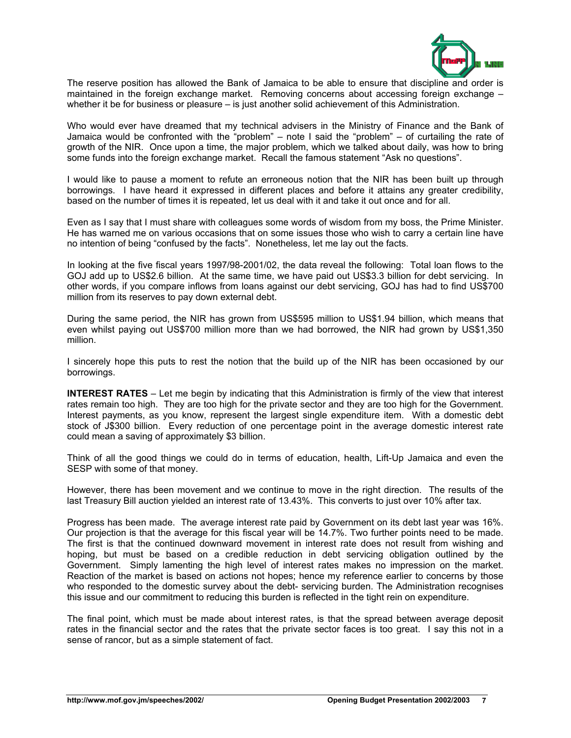

The reserve position has allowed the Bank of Jamaica to be able to ensure that discipline and order is maintained in the foreign exchange market. Removing concerns about accessing foreign exchange – whether it be for business or pleasure – is just another solid achievement of this Administration.

Who would ever have dreamed that my technical advisers in the Ministry of Finance and the Bank of Jamaica would be confronted with the "problem" – note I said the "problem" – of curtailing the rate of growth of the NIR. Once upon a time, the major problem, which we talked about daily, was how to bring some funds into the foreign exchange market. Recall the famous statement "Ask no questions".

I would like to pause a moment to refute an erroneous notion that the NIR has been built up through borrowings. I have heard it expressed in different places and before it attains any greater credibility, based on the number of times it is repeated, let us deal with it and take it out once and for all.

Even as I say that I must share with colleagues some words of wisdom from my boss, the Prime Minister. He has warned me on various occasions that on some issues those who wish to carry a certain line have no intention of being "confused by the facts". Nonetheless, let me lay out the facts.

In looking at the five fiscal years 1997/98-2001/02, the data reveal the following: Total loan flows to the GOJ add up to US\$2.6 billion. At the same time, we have paid out US\$3.3 billion for debt servicing. In other words, if you compare inflows from loans against our debt servicing, GOJ has had to find US\$700 million from its reserves to pay down external debt.

During the same period, the NIR has grown from US\$595 million to US\$1.94 billion, which means that even whilst paying out US\$700 million more than we had borrowed, the NIR had grown by US\$1,350 million.

I sincerely hope this puts to rest the notion that the build up of the NIR has been occasioned by our borrowings.

**INTEREST RATES** – Let me begin by indicating that this Administration is firmly of the view that interest rates remain too high. They are too high for the private sector and they are too high for the Government. Interest payments, as you know, represent the largest single expenditure item. With a domestic debt stock of J\$300 billion. Every reduction of one percentage point in the average domestic interest rate could mean a saving of approximately \$3 billion.

Think of all the good things we could do in terms of education, health, Lift-Up Jamaica and even the SESP with some of that money.

However, there has been movement and we continue to move in the right direction. The results of the last Treasury Bill auction yielded an interest rate of 13.43%. This converts to just over 10% after tax.

Progress has been made. The average interest rate paid by Government on its debt last year was 16%. Our projection is that the average for this fiscal year will be 14.7%. Two further points need to be made. The first is that the continued downward movement in interest rate does not result from wishing and hoping, but must be based on a credible reduction in debt servicing obligation outlined by the Government. Simply lamenting the high level of interest rates makes no impression on the market. Reaction of the market is based on actions not hopes; hence my reference earlier to concerns by those who responded to the domestic survey about the debt- servicing burden. The Administration recognises this issue and our commitment to reducing this burden is reflected in the tight rein on expenditure.

The final point, which must be made about interest rates, is that the spread between average deposit rates in the financial sector and the rates that the private sector faces is too great. I say this not in a sense of rancor, but as a simple statement of fact.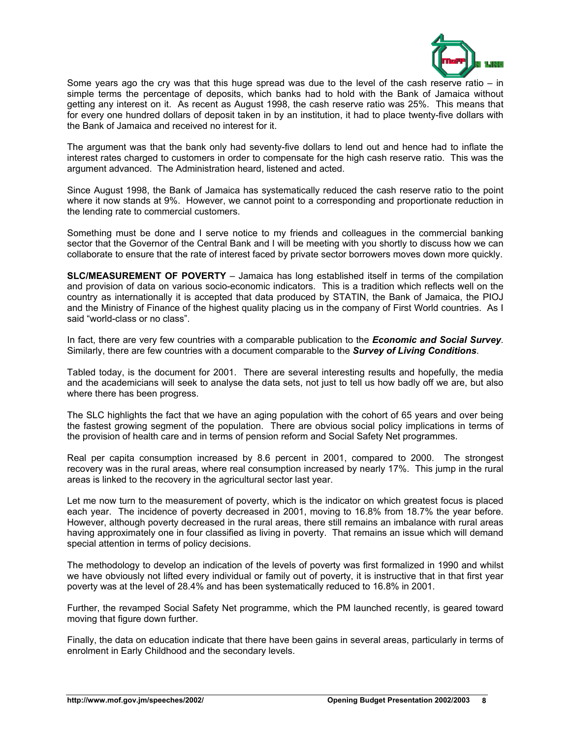

Some years ago the cry was that this huge spread was due to the level of the cash reserve ratio – in simple terms the percentage of deposits, which banks had to hold with the Bank of Jamaica without getting any interest on it. As recent as August 1998, the cash reserve ratio was 25%. This means that for every one hundred dollars of deposit taken in by an institution, it had to place twenty-five dollars with the Bank of Jamaica and received no interest for it.

The argument was that the bank only had seventy-five dollars to lend out and hence had to inflate the interest rates charged to customers in order to compensate for the high cash reserve ratio. This was the argument advanced. The Administration heard, listened and acted.

Since August 1998, the Bank of Jamaica has systematically reduced the cash reserve ratio to the point where it now stands at 9%. However, we cannot point to a corresponding and proportionate reduction in the lending rate to commercial customers.

Something must be done and I serve notice to my friends and colleagues in the commercial banking sector that the Governor of the Central Bank and I will be meeting with you shortly to discuss how we can collaborate to ensure that the rate of interest faced by private sector borrowers moves down more quickly.

**SLC/MEASUREMENT OF POVERTY** – Jamaica has long established itself in terms of the compilation and provision of data on various socio-economic indicators. This is a tradition which reflects well on the country as internationally it is accepted that data produced by STATIN, the Bank of Jamaica, the PIOJ and the Ministry of Finance of the highest quality placing us in the company of First World countries. As I said "world-class or no class".

In fact, there are very few countries with a comparable publication to the *Economic and Social Survey*. Similarly, there are few countries with a document comparable to the *Survey of Living Conditions*.

Tabled today, is the document for 2001. There are several interesting results and hopefully, the media and the academicians will seek to analyse the data sets, not just to tell us how badly off we are, but also where there has been progress.

The SLC highlights the fact that we have an aging population with the cohort of 65 years and over being the fastest growing segment of the population. There are obvious social policy implications in terms of the provision of health care and in terms of pension reform and Social Safety Net programmes.

Real per capita consumption increased by 8.6 percent in 2001, compared to 2000. The strongest recovery was in the rural areas, where real consumption increased by nearly 17%. This jump in the rural areas is linked to the recovery in the agricultural sector last year.

Let me now turn to the measurement of poverty, which is the indicator on which greatest focus is placed each year. The incidence of poverty decreased in 2001, moving to 16.8% from 18.7% the year before. However, although poverty decreased in the rural areas, there still remains an imbalance with rural areas having approximately one in four classified as living in poverty. That remains an issue which will demand special attention in terms of policy decisions.

The methodology to develop an indication of the levels of poverty was first formalized in 1990 and whilst we have obviously not lifted every individual or family out of poverty, it is instructive that in that first year poverty was at the level of 28.4% and has been systematically reduced to 16.8% in 2001.

Further, the revamped Social Safety Net programme, which the PM launched recently, is geared toward moving that figure down further.

Finally, the data on education indicate that there have been gains in several areas, particularly in terms of enrolment in Early Childhood and the secondary levels.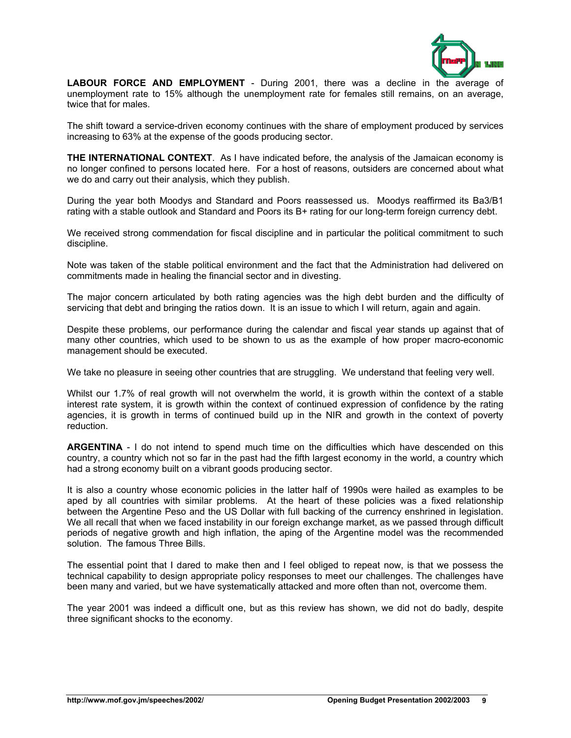

**LABOUR FORCE AND EMPLOYMENT** - During 2001, there was a decline in the average of unemployment rate to 15% although the unemployment rate for females still remains, on an average, twice that for males.

The shift toward a service-driven economy continues with the share of employment produced by services increasing to 63% at the expense of the goods producing sector.

**THE INTERNATIONAL CONTEXT**. As I have indicated before, the analysis of the Jamaican economy is no longer confined to persons located here. For a host of reasons, outsiders are concerned about what we do and carry out their analysis, which they publish.

During the year both Moodys and Standard and Poors reassessed us. Moodys reaffirmed its Ba3/B1 rating with a stable outlook and Standard and Poors its B+ rating for our long-term foreign currency debt.

We received strong commendation for fiscal discipline and in particular the political commitment to such discipline.

Note was taken of the stable political environment and the fact that the Administration had delivered on commitments made in healing the financial sector and in divesting.

The major concern articulated by both rating agencies was the high debt burden and the difficulty of servicing that debt and bringing the ratios down. It is an issue to which I will return, again and again.

Despite these problems, our performance during the calendar and fiscal year stands up against that of many other countries, which used to be shown to us as the example of how proper macro-economic management should be executed.

We take no pleasure in seeing other countries that are struggling. We understand that feeling very well.

Whilst our 1.7% of real growth will not overwhelm the world, it is growth within the context of a stable interest rate system, it is growth within the context of continued expression of confidence by the rating agencies, it is growth in terms of continued build up in the NIR and growth in the context of poverty reduction.

**ARGENTINA** - I do not intend to spend much time on the difficulties which have descended on this country, a country which not so far in the past had the fifth largest economy in the world, a country which had a strong economy built on a vibrant goods producing sector.

It is also a country whose economic policies in the latter half of 1990s were hailed as examples to be aped by all countries with similar problems. At the heart of these policies was a fixed relationship between the Argentine Peso and the US Dollar with full backing of the currency enshrined in legislation. We all recall that when we faced instability in our foreign exchange market, as we passed through difficult periods of negative growth and high inflation, the aping of the Argentine model was the recommended solution. The famous Three Bills.

The essential point that I dared to make then and I feel obliged to repeat now, is that we possess the technical capability to design appropriate policy responses to meet our challenges. The challenges have been many and varied, but we have systematically attacked and more often than not, overcome them.

The year 2001 was indeed a difficult one, but as this review has shown, we did not do badly, despite three significant shocks to the economy.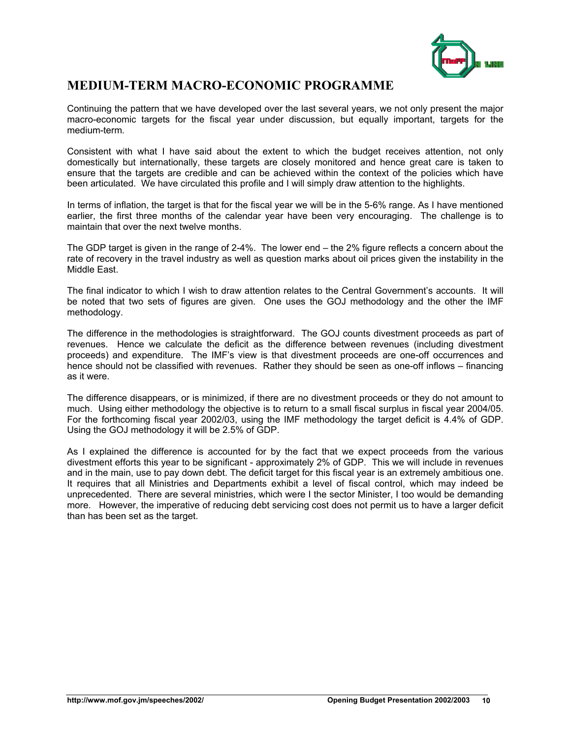

### **MEDIUM-TERM MACRO-ECONOMIC PROGRAMME**

Continuing the pattern that we have developed over the last several years, we not only present the major macro-economic targets for the fiscal year under discussion, but equally important, targets for the medium-term.

Consistent with what I have said about the extent to which the budget receives attention, not only domestically but internationally, these targets are closely monitored and hence great care is taken to ensure that the targets are credible and can be achieved within the context of the policies which have been articulated. We have circulated this profile and I will simply draw attention to the highlights.

In terms of inflation, the target is that for the fiscal year we will be in the 5-6% range. As I have mentioned earlier, the first three months of the calendar year have been very encouraging. The challenge is to maintain that over the next twelve months.

The GDP target is given in the range of 2-4%. The lower end – the 2% figure reflects a concern about the rate of recovery in the travel industry as well as question marks about oil prices given the instability in the Middle East.

The final indicator to which I wish to draw attention relates to the Central Government's accounts. It will be noted that two sets of figures are given. One uses the GOJ methodology and the other the IMF methodology.

The difference in the methodologies is straightforward. The GOJ counts divestment proceeds as part of revenues. Hence we calculate the deficit as the difference between revenues (including divestment proceeds) and expenditure. The IMF's view is that divestment proceeds are one-off occurrences and hence should not be classified with revenues. Rather they should be seen as one-off inflows – financing as it were.

The difference disappears, or is minimized, if there are no divestment proceeds or they do not amount to much. Using either methodology the objective is to return to a small fiscal surplus in fiscal year 2004/05. For the forthcoming fiscal year 2002/03, using the IMF methodology the target deficit is 4.4% of GDP. Using the GOJ methodology it will be 2.5% of GDP.

As I explained the difference is accounted for by the fact that we expect proceeds from the various divestment efforts this year to be significant - approximately 2% of GDP. This we will include in revenues and in the main, use to pay down debt. The deficit target for this fiscal year is an extremely ambitious one. It requires that all Ministries and Departments exhibit a level of fiscal control, which may indeed be unprecedented. There are several ministries, which were I the sector Minister, I too would be demanding more. However, the imperative of reducing debt servicing cost does not permit us to have a larger deficit than has been set as the target.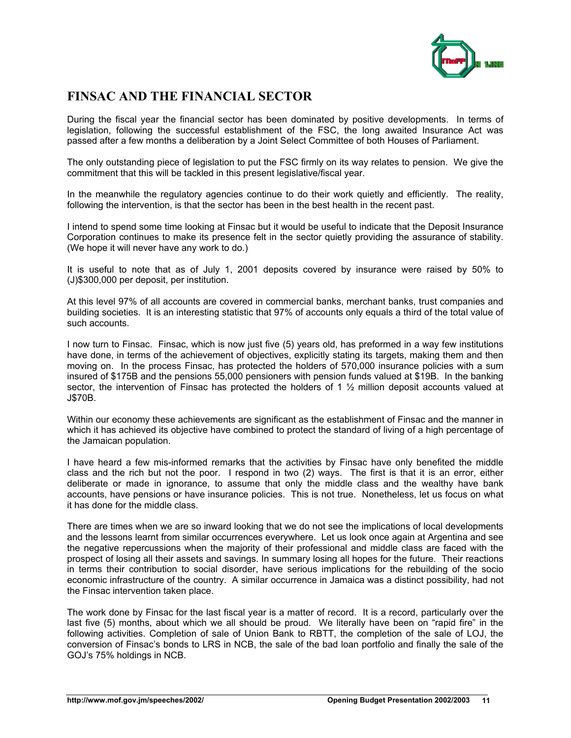

# **FINSAC AND THE FINANCIAL SECTOR**

During the fiscal year the financial sector has been dominated by positive developments. In terms of legislation, following the successful establishment of the FSC, the long awaited Insurance Act was passed after a few months a deliberation by a Joint Select Committee of both Houses of Parliament.

The only outstanding piece of legislation to put the FSC firmly on its way relates to pension. We give the commitment that this will be tackled in this present legislative/fiscal year.

In the meanwhile the regulatory agencies continue to do their work quietly and efficiently. The reality, following the intervention, is that the sector has been in the best health in the recent past.

I intend to spend some time looking at Finsac but it would be useful to indicate that the Deposit Insurance Corporation continues to make its presence felt in the sector quietly providing the assurance of stability. (We hope it will never have any work to do.)

It is useful to note that as of July 1, 2001 deposits covered by insurance were raised by 50% to (J)\$300,000 per deposit, per institution.

At this level 97% of all accounts are covered in commercial banks, merchant banks, trust companies and building societies. It is an interesting statistic that 97% of accounts only equals a third of the total value of such accounts.

I now turn to Finsac. Finsac, which is now just five (5) years old, has preformed in a way few institutions have done, in terms of the achievement of objectives, explicitly stating its targets, making them and then moving on. In the process Finsac, has protected the holders of 570,000 insurance policies with a sum insured of \$175B and the pensions 55,000 pensioners with pension funds valued at \$19B. In the banking sector, the intervention of Finsac has protected the holders of 1 % million deposit accounts valued at J\$70B.

Within our economy these achievements are significant as the establishment of Finsac and the manner in which it has achieved its objective have combined to protect the standard of living of a high percentage of the Jamaican population.

I have heard a few mis-informed remarks that the activities by Finsac have only benefited the middle class and the rich but not the poor. I respond in two (2) ways. The first is that it is an error, either deliberate or made in ignorance, to assume that only the middle class and the wealthy have bank accounts, have pensions or have insurance policies. This is not true. Nonetheless, let us focus on what it has done for the middle class.

There are times when we are so inward looking that we do not see the implications of local developments and the lessons learnt from similar occurrences everywhere. Let us look once again at Argentina and see the negative repercussions when the majority of their professional and middle class are faced with the prospect of losing all their assets and savings. In summary losing all hopes for the future. Their reactions in terms their contribution to social disorder, have serious implications for the rebuilding of the socio economic infrastructure of the country. A similar occurrence in Jamaica was a distinct possibility, had not the Finsac intervention taken place.

The work done by Finsac for the last fiscal year is a matter of record. It is a record, particularly over the last five (5) months, about which we all should be proud. We literally have been on "rapid fire" in the following activities. Completion of sale of Union Bank to RBTT, the completion of the sale of LOJ, the conversion of Finsac's bonds to LRS in NCB, the sale of the bad loan portfolio and finally the sale of the GOJ's 75% holdings in NCB.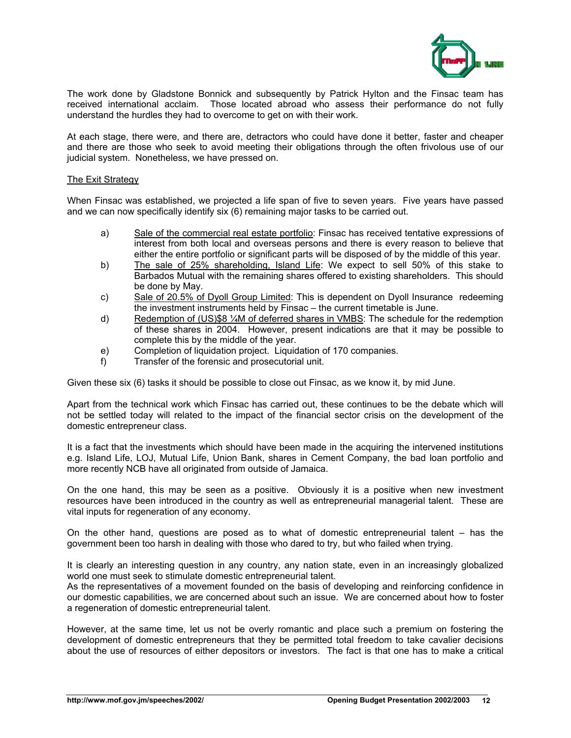

The work done by Gladstone Bonnick and subsequently by Patrick Hylton and the Finsac team has received international acclaim. Those located abroad who assess their performance do not fully understand the hurdles they had to overcome to get on with their work.

At each stage, there were, and there are, detractors who could have done it better, faster and cheaper and there are those who seek to avoid meeting their obligations through the often frivolous use of our judicial system. Nonetheless, we have pressed on.

### The Exit Strategy

When Finsac was established, we projected a life span of five to seven years. Five years have passed and we can now specifically identify six (6) remaining major tasks to be carried out.

- a) Sale of the commercial real estate portfolio: Finsac has received tentative expressions of interest from both local and overseas persons and there is every reason to believe that either the entire portfolio or significant parts will be disposed of by the middle of this year.
- b) The sale of 25% shareholding, Island Life: We expect to sell 50% of this stake to Barbados Mutual with the remaining shares offered to existing shareholders. This should be done by May.
- c) Sale of 20.5% of Dyoll Group Limited: This is dependent on Dyoll Insurance redeeming the investment instruments held by Finsac – the current timetable is June.
- d) Redemption of (US)\$8 ¼M of deferred shares in VMBS: The schedule for the redemption of these shares in 2004. However, present indications are that it may be possible to complete this by the middle of the year.
- e) Completion of liquidation project. Liquidation of 170 companies.
- f) Transfer of the forensic and prosecutorial unit.

Given these six (6) tasks it should be possible to close out Finsac, as we know it, by mid June.

Apart from the technical work which Finsac has carried out, these continues to be the debate which will not be settled today will related to the impact of the financial sector crisis on the development of the domestic entrepreneur class.

It is a fact that the investments which should have been made in the acquiring the intervened institutions e.g. Island Life, LOJ, Mutual Life, Union Bank, shares in Cement Company, the bad loan portfolio and more recently NCB have all originated from outside of Jamaica.

On the one hand, this may be seen as a positive. Obviously it is a positive when new investment resources have been introduced in the country as well as entrepreneurial managerial talent. These are vital inputs for regeneration of any economy.

On the other hand, questions are posed as to what of domestic entrepreneurial talent – has the government been too harsh in dealing with those who dared to try, but who failed when trying.

It is clearly an interesting question in any country, any nation state, even in an increasingly globalized world one must seek to stimulate domestic entrepreneurial talent.

As the representatives of a movement founded on the basis of developing and reinforcing confidence in our domestic capabilities, we are concerned about such an issue. We are concerned about how to foster a regeneration of domestic entrepreneurial talent.

However, at the same time, let us not be overly romantic and place such a premium on fostering the development of domestic entrepreneurs that they be permitted total freedom to take cavalier decisions about the use of resources of either depositors or investors. The fact is that one has to make a critical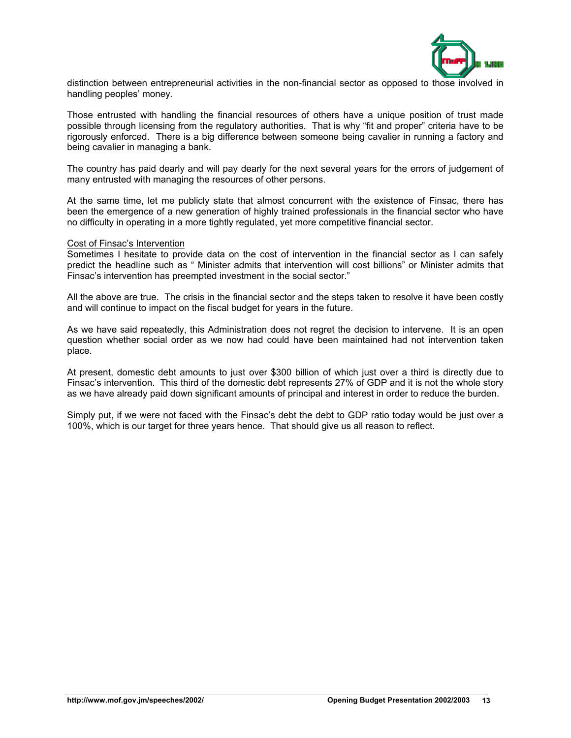

distinction between entrepreneurial activities in the non-financial sector as opposed to those involved in handling peoples' money.

Those entrusted with handling the financial resources of others have a unique position of trust made possible through licensing from the regulatory authorities. That is why "fit and proper" criteria have to be rigorously enforced. There is a big difference between someone being cavalier in running a factory and being cavalier in managing a bank.

The country has paid dearly and will pay dearly for the next several years for the errors of judgement of many entrusted with managing the resources of other persons.

At the same time, let me publicly state that almost concurrent with the existence of Finsac, there has been the emergence of a new generation of highly trained professionals in the financial sector who have no difficulty in operating in a more tightly regulated, yet more competitive financial sector.

#### Cost of Finsac's Intervention

Sometimes I hesitate to provide data on the cost of intervention in the financial sector as I can safely predict the headline such as " Minister admits that intervention will cost billions" or Minister admits that Finsac's intervention has preempted investment in the social sector."

All the above are true. The crisis in the financial sector and the steps taken to resolve it have been costly and will continue to impact on the fiscal budget for years in the future.

As we have said repeatedly, this Administration does not regret the decision to intervene. It is an open question whether social order as we now had could have been maintained had not intervention taken place.

At present, domestic debt amounts to just over \$300 billion of which just over a third is directly due to Finsac's intervention. This third of the domestic debt represents 27% of GDP and it is not the whole story as we have already paid down significant amounts of principal and interest in order to reduce the burden.

Simply put, if we were not faced with the Finsac's debt the debt to GDP ratio today would be just over a 100%, which is our target for three years hence. That should give us all reason to reflect.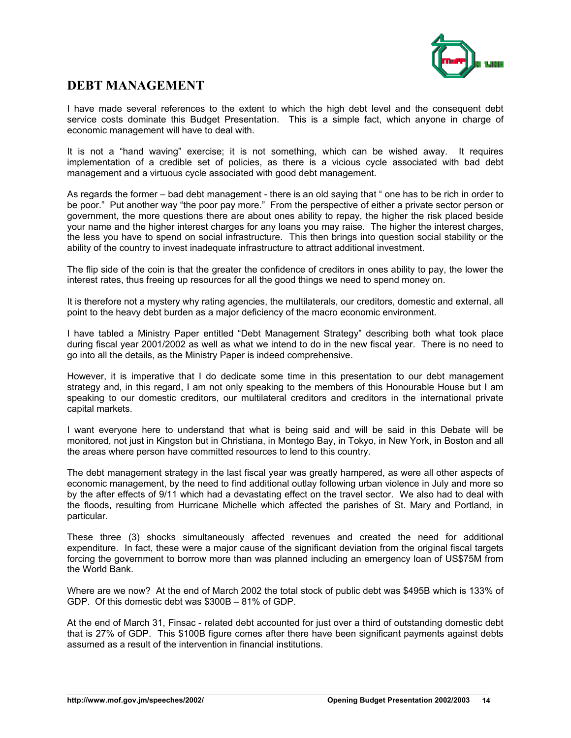

### **DEBT MANAGEMENT**

I have made several references to the extent to which the high debt level and the consequent debt service costs dominate this Budget Presentation. This is a simple fact, which anyone in charge of economic management will have to deal with.

It is not a "hand waving" exercise; it is not something, which can be wished away. It requires implementation of a credible set of policies, as there is a vicious cycle associated with bad debt management and a virtuous cycle associated with good debt management.

As regards the former – bad debt management - there is an old saying that " one has to be rich in order to be poor." Put another way "the poor pay more." From the perspective of either a private sector person or government, the more questions there are about ones ability to repay, the higher the risk placed beside your name and the higher interest charges for any loans you may raise. The higher the interest charges, the less you have to spend on social infrastructure. This then brings into question social stability or the ability of the country to invest inadequate infrastructure to attract additional investment.

The flip side of the coin is that the greater the confidence of creditors in ones ability to pay, the lower the interest rates, thus freeing up resources for all the good things we need to spend money on.

It is therefore not a mystery why rating agencies, the multilaterals, our creditors, domestic and external, all point to the heavy debt burden as a major deficiency of the macro economic environment.

I have tabled a Ministry Paper entitled "Debt Management Strategy" describing both what took place during fiscal year 2001/2002 as well as what we intend to do in the new fiscal year. There is no need to go into all the details, as the Ministry Paper is indeed comprehensive.

However, it is imperative that I do dedicate some time in this presentation to our debt management strategy and, in this regard, I am not only speaking to the members of this Honourable House but I am speaking to our domestic creditors, our multilateral creditors and creditors in the international private capital markets.

I want everyone here to understand that what is being said and will be said in this Debate will be monitored, not just in Kingston but in Christiana, in Montego Bay, in Tokyo, in New York, in Boston and all the areas where person have committed resources to lend to this country.

The debt management strategy in the last fiscal year was greatly hampered, as were all other aspects of economic management, by the need to find additional outlay following urban violence in July and more so by the after effects of 9/11 which had a devastating effect on the travel sector. We also had to deal with the floods, resulting from Hurricane Michelle which affected the parishes of St. Mary and Portland, in particular.

These three (3) shocks simultaneously affected revenues and created the need for additional expenditure. In fact, these were a major cause of the significant deviation from the original fiscal targets forcing the government to borrow more than was planned including an emergency loan of US\$75M from the World Bank.

Where are we now? At the end of March 2002 the total stock of public debt was \$495B which is 133% of GDP. Of this domestic debt was \$300B – 81% of GDP.

At the end of March 31, Finsac - related debt accounted for just over a third of outstanding domestic debt that is 27% of GDP. This \$100B figure comes after there have been significant payments against debts assumed as a result of the intervention in financial institutions.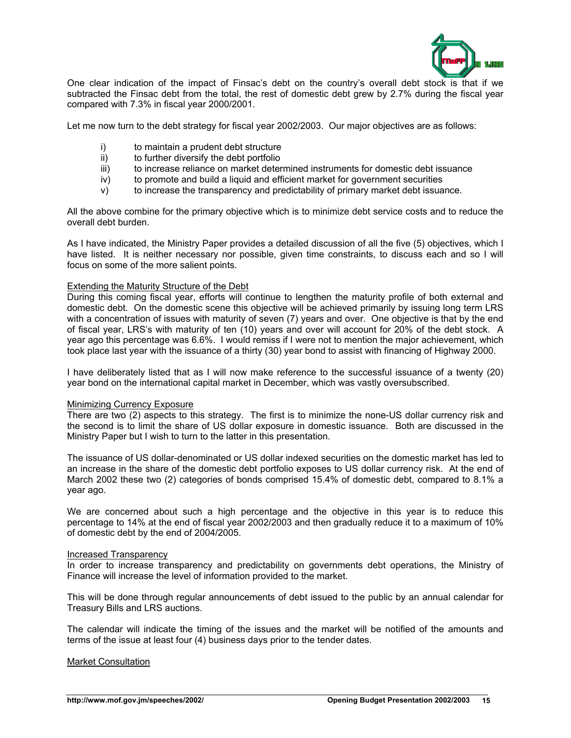

One clear indication of the impact of Finsac's debt on the country's overall debt stock is that if we subtracted the Finsac debt from the total, the rest of domestic debt grew by 2.7% during the fiscal year compared with 7.3% in fiscal year 2000/2001.

Let me now turn to the debt strategy for fiscal year 2002/2003. Our major objectives are as follows:

- i) to maintain a prudent debt structure
- ii) to further diversify the debt portfolio
- iii) to increase reliance on market determined instruments for domestic debt issuance
- $iv)$  to promote and build a liquid and efficient market for government securities
- v) to increase the transparency and predictability of primary market debt issuance.

All the above combine for the primary objective which is to minimize debt service costs and to reduce the overall debt burden.

As I have indicated, the Ministry Paper provides a detailed discussion of all the five (5) objectives, which I have listed. It is neither necessary nor possible, given time constraints, to discuss each and so I will focus on some of the more salient points.

### Extending the Maturity Structure of the Debt

During this coming fiscal year, efforts will continue to lengthen the maturity profile of both external and domestic debt. On the domestic scene this objective will be achieved primarily by issuing long term LRS with a concentration of issues with maturity of seven (7) years and over. One objective is that by the end of fiscal year, LRS's with maturity of ten (10) years and over will account for 20% of the debt stock. A year ago this percentage was 6.6%. I would remiss if I were not to mention the major achievement, which took place last year with the issuance of a thirty (30) year bond to assist with financing of Highway 2000.

I have deliberately listed that as I will now make reference to the successful issuance of a twenty (20) year bond on the international capital market in December, which was vastly oversubscribed.

### Minimizing Currency Exposure

There are two (2) aspects to this strategy. The first is to minimize the none-US dollar currency risk and the second is to limit the share of US dollar exposure in domestic issuance. Both are discussed in the Ministry Paper but I wish to turn to the latter in this presentation.

The issuance of US dollar-denominated or US dollar indexed securities on the domestic market has led to an increase in the share of the domestic debt portfolio exposes to US dollar currency risk. At the end of March 2002 these two (2) categories of bonds comprised 15.4% of domestic debt, compared to 8.1% a year ago.

We are concerned about such a high percentage and the objective in this year is to reduce this percentage to 14% at the end of fiscal year 2002/2003 and then gradually reduce it to a maximum of 10% of domestic debt by the end of 2004/2005.

### Increased Transparency

In order to increase transparency and predictability on governments debt operations, the Ministry of Finance will increase the level of information provided to the market.

This will be done through regular announcements of debt issued to the public by an annual calendar for Treasury Bills and LRS auctions.

The calendar will indicate the timing of the issues and the market will be notified of the amounts and terms of the issue at least four (4) business days prior to the tender dates.

#### Market Consultation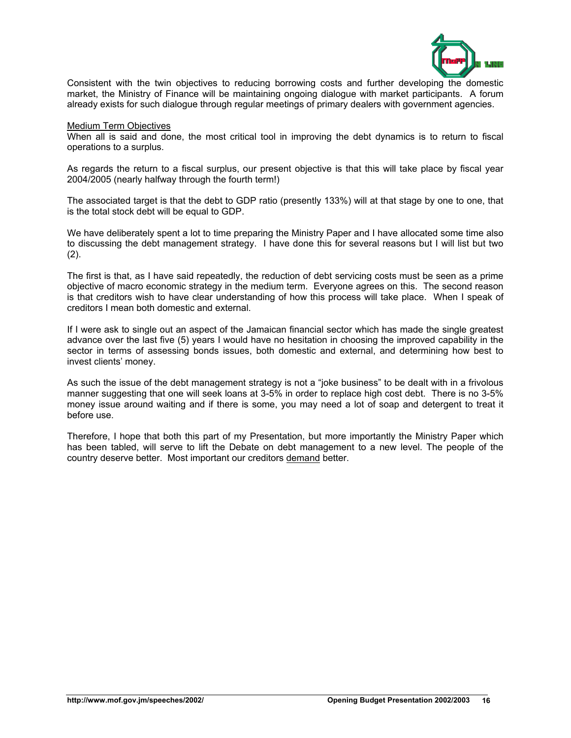

Consistent with the twin objectives to reducing borrowing costs and further developing the domestic market, the Ministry of Finance will be maintaining ongoing dialogue with market participants. A forum already exists for such dialogue through regular meetings of primary dealers with government agencies.

Medium Term Objectives

When all is said and done, the most critical tool in improving the debt dynamics is to return to fiscal operations to a surplus.

As regards the return to a fiscal surplus, our present objective is that this will take place by fiscal year 2004/2005 (nearly halfway through the fourth term!)

The associated target is that the debt to GDP ratio (presently 133%) will at that stage by one to one, that is the total stock debt will be equal to GDP.

We have deliberately spent a lot to time preparing the Ministry Paper and I have allocated some time also to discussing the debt management strategy. I have done this for several reasons but I will list but two  $(2)$ .

The first is that, as I have said repeatedly, the reduction of debt servicing costs must be seen as a prime objective of macro economic strategy in the medium term. Everyone agrees on this. The second reason is that creditors wish to have clear understanding of how this process will take place. When I speak of creditors I mean both domestic and external.

If I were ask to single out an aspect of the Jamaican financial sector which has made the single greatest advance over the last five (5) years I would have no hesitation in choosing the improved capability in the sector in terms of assessing bonds issues, both domestic and external, and determining how best to invest clients' money.

As such the issue of the debt management strategy is not a "joke business" to be dealt with in a frivolous manner suggesting that one will seek loans at 3-5% in order to replace high cost debt. There is no 3-5% money issue around waiting and if there is some, you may need a lot of soap and detergent to treat it before use.

Therefore, I hope that both this part of my Presentation, but more importantly the Ministry Paper which has been tabled, will serve to lift the Debate on debt management to a new level. The people of the country deserve better. Most important our creditors demand better.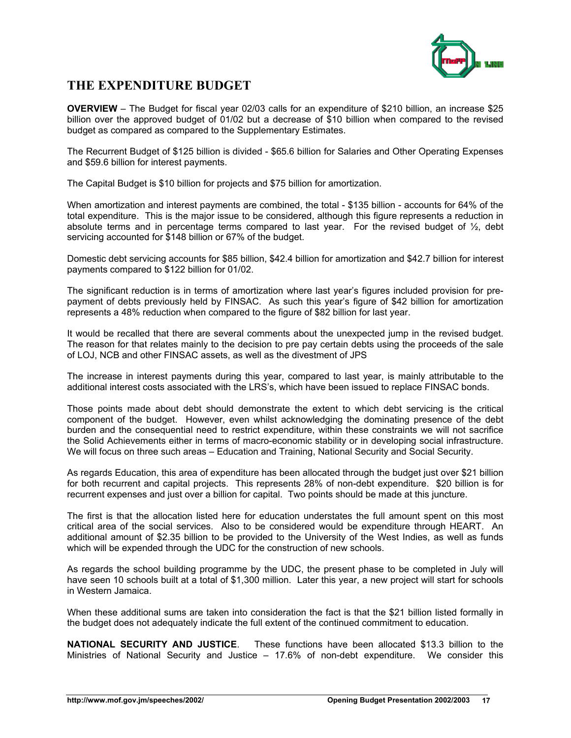

### **THE EXPENDITURE BUDGET**

**OVERVIEW** – The Budget for fiscal year 02/03 calls for an expenditure of \$210 billion, an increase \$25 billion over the approved budget of 01/02 but a decrease of \$10 billion when compared to the revised budget as compared as compared to the Supplementary Estimates.

The Recurrent Budget of \$125 billion is divided - \$65.6 billion for Salaries and Other Operating Expenses and \$59.6 billion for interest payments.

The Capital Budget is \$10 billion for projects and \$75 billion for amortization.

When amortization and interest payments are combined, the total - \$135 billion - accounts for 64% of the total expenditure. This is the major issue to be considered, although this figure represents a reduction in absolute terms and in percentage terms compared to last year. For the revised budget of  $\frac{1}{2}$ , debt servicing accounted for \$148 billion or 67% of the budget.

Domestic debt servicing accounts for \$85 billion, \$42.4 billion for amortization and \$42.7 billion for interest payments compared to \$122 billion for 01/02.

The significant reduction is in terms of amortization where last year's figures included provision for prepayment of debts previously held by FINSAC. As such this year's figure of \$42 billion for amortization represents a 48% reduction when compared to the figure of \$82 billion for last year.

It would be recalled that there are several comments about the unexpected jump in the revised budget. The reason for that relates mainly to the decision to pre pay certain debts using the proceeds of the sale of LOJ, NCB and other FINSAC assets, as well as the divestment of JPS

The increase in interest payments during this year, compared to last year, is mainly attributable to the additional interest costs associated with the LRS's, which have been issued to replace FINSAC bonds.

Those points made about debt should demonstrate the extent to which debt servicing is the critical component of the budget. However, even whilst acknowledging the dominating presence of the debt burden and the consequential need to restrict expenditure, within these constraints we will not sacrifice the Solid Achievements either in terms of macro-economic stability or in developing social infrastructure. We will focus on three such areas – Education and Training, National Security and Social Security.

As regards Education, this area of expenditure has been allocated through the budget just over \$21 billion for both recurrent and capital projects. This represents 28% of non-debt expenditure. \$20 billion is for recurrent expenses and just over a billion for capital. Two points should be made at this juncture.

The first is that the allocation listed here for education understates the full amount spent on this most critical area of the social services. Also to be considered would be expenditure through HEART. An additional amount of \$2.35 billion to be provided to the University of the West Indies, as well as funds which will be expended through the UDC for the construction of new schools.

As regards the school building programme by the UDC, the present phase to be completed in July will have seen 10 schools built at a total of \$1,300 million. Later this year, a new project will start for schools in Western Jamaica.

When these additional sums are taken into consideration the fact is that the \$21 billion listed formally in the budget does not adequately indicate the full extent of the continued commitment to education.

**NATIONAL SECURITY AND JUSTICE**. These functions have been allocated \$13.3 billion to the Ministries of National Security and Justice – 17.6% of non-debt expenditure. We consider this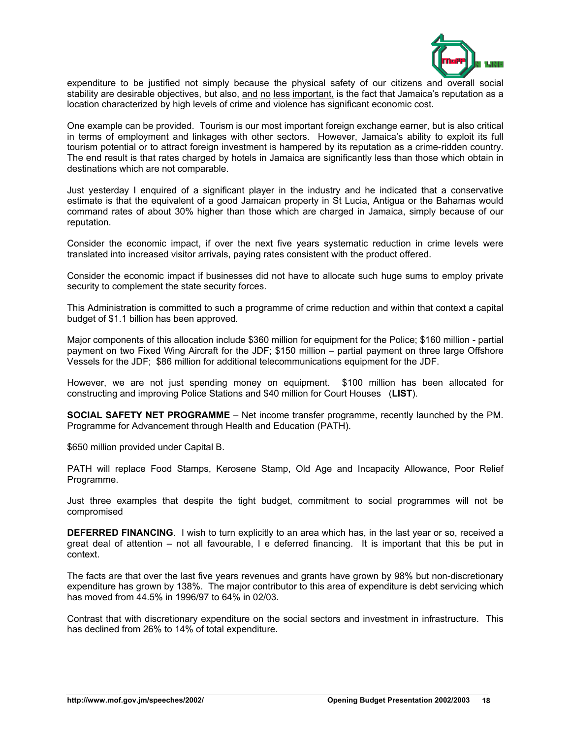

expenditure to be justified not simply because the physical safety of our citizens and overall social stability are desirable objectives, but also, and no less important, is the fact that Jamaica's reputation as a location characterized by high levels of crime and violence has significant economic cost.

One example can be provided. Tourism is our most important foreign exchange earner, but is also critical in terms of employment and linkages with other sectors. However, Jamaica's ability to exploit its full tourism potential or to attract foreign investment is hampered by its reputation as a crime-ridden country. The end result is that rates charged by hotels in Jamaica are significantly less than those which obtain in destinations which are not comparable.

Just yesterday I enquired of a significant player in the industry and he indicated that a conservative estimate is that the equivalent of a good Jamaican property in St Lucia, Antigua or the Bahamas would command rates of about 30% higher than those which are charged in Jamaica, simply because of our reputation.

Consider the economic impact, if over the next five years systematic reduction in crime levels were translated into increased visitor arrivals, paying rates consistent with the product offered.

Consider the economic impact if businesses did not have to allocate such huge sums to employ private security to complement the state security forces.

This Administration is committed to such a programme of crime reduction and within that context a capital budget of \$1.1 billion has been approved.

Major components of this allocation include \$360 million for equipment for the Police; \$160 million - partial payment on two Fixed Wing Aircraft for the JDF; \$150 million – partial payment on three large Offshore Vessels for the JDF; \$86 million for additional telecommunications equipment for the JDF.

However, we are not just spending money on equipment. \$100 million has been allocated for constructing and improving Police Stations and \$40 million for Court Houses (**LIST**).

**SOCIAL SAFETY NET PROGRAMME** – Net income transfer programme, recently launched by the PM. Programme for Advancement through Health and Education (PATH).

\$650 million provided under Capital B.

PATH will replace Food Stamps, Kerosene Stamp, Old Age and Incapacity Allowance, Poor Relief Programme.

Just three examples that despite the tight budget, commitment to social programmes will not be compromised

**DEFERRED FINANCING**. I wish to turn explicitly to an area which has, in the last year or so, received a great deal of attention – not all favourable, I e deferred financing. It is important that this be put in context.

The facts are that over the last five years revenues and grants have grown by 98% but non-discretionary expenditure has grown by 138%. The major contributor to this area of expenditure is debt servicing which has moved from 44.5% in 1996/97 to 64% in 02/03.

Contrast that with discretionary expenditure on the social sectors and investment in infrastructure. This has declined from 26% to 14% of total expenditure.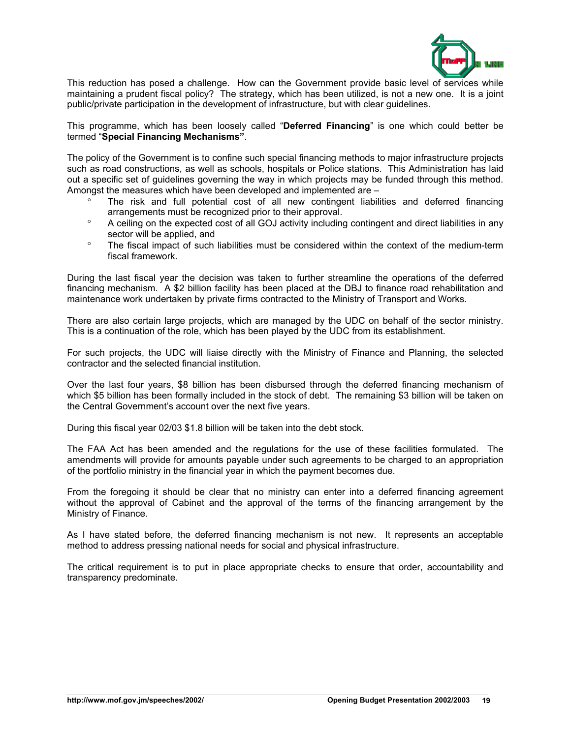

This reduction has posed a challenge. How can the Government provide basic level of services while maintaining a prudent fiscal policy? The strategy, which has been utilized, is not a new one. It is a joint public/private participation in the development of infrastructure, but with clear guidelines.

This programme, which has been loosely called "**Deferred Financing**" is one which could better be termed "**Special Financing Mechanisms"**.

The policy of the Government is to confine such special financing methods to major infrastructure projects such as road constructions, as well as schools, hospitals or Police stations. This Administration has laid out a specific set of guidelines governing the way in which projects may be funded through this method. Amongst the measures which have been developed and implemented are –

- ° The risk and full potential cost of all new contingent liabilities and deferred financing arrangements must be recognized prior to their approval.
- ° A ceiling on the expected cost of all GOJ activity including contingent and direct liabilities in any sector will be applied, and
- ° The fiscal impact of such liabilities must be considered within the context of the medium-term fiscal framework.

During the last fiscal year the decision was taken to further streamline the operations of the deferred financing mechanism. A \$2 billion facility has been placed at the DBJ to finance road rehabilitation and maintenance work undertaken by private firms contracted to the Ministry of Transport and Works.

There are also certain large projects, which are managed by the UDC on behalf of the sector ministry. This is a continuation of the role, which has been played by the UDC from its establishment.

For such projects, the UDC will liaise directly with the Ministry of Finance and Planning, the selected contractor and the selected financial institution.

Over the last four years, \$8 billion has been disbursed through the deferred financing mechanism of which \$5 billion has been formally included in the stock of debt. The remaining \$3 billion will be taken on the Central Government's account over the next five years.

During this fiscal year 02/03 \$1.8 billion will be taken into the debt stock.

The FAA Act has been amended and the regulations for the use of these facilities formulated. The amendments will provide for amounts payable under such agreements to be charged to an appropriation of the portfolio ministry in the financial year in which the payment becomes due.

From the foregoing it should be clear that no ministry can enter into a deferred financing agreement without the approval of Cabinet and the approval of the terms of the financing arrangement by the Ministry of Finance.

As I have stated before, the deferred financing mechanism is not new. It represents an acceptable method to address pressing national needs for social and physical infrastructure.

The critical requirement is to put in place appropriate checks to ensure that order, accountability and transparency predominate.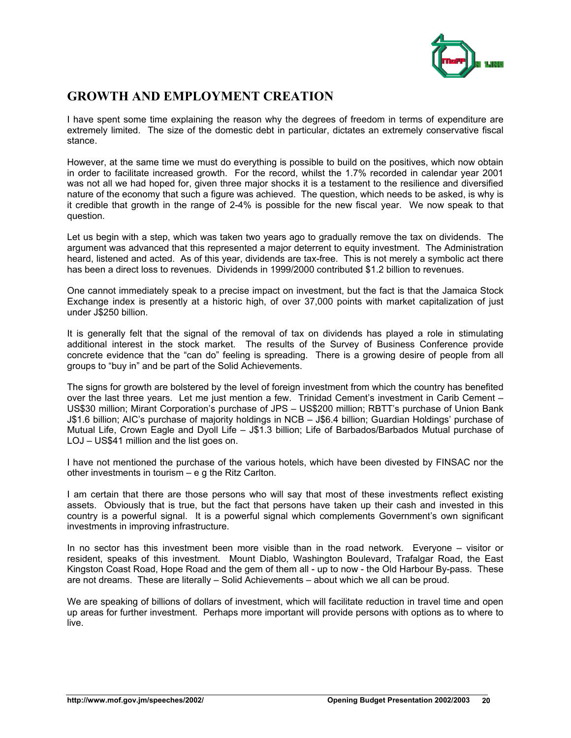

# **GROWTH AND EMPLOYMENT CREATION**

I have spent some time explaining the reason why the degrees of freedom in terms of expenditure are extremely limited. The size of the domestic debt in particular, dictates an extremely conservative fiscal stance.

However, at the same time we must do everything is possible to build on the positives, which now obtain in order to facilitate increased growth. For the record, whilst the 1.7% recorded in calendar year 2001 was not all we had hoped for, given three major shocks it is a testament to the resilience and diversified nature of the economy that such a figure was achieved. The question, which needs to be asked, is why is it credible that growth in the range of 2-4% is possible for the new fiscal year. We now speak to that question.

Let us begin with a step, which was taken two years ago to gradually remove the tax on dividends. The argument was advanced that this represented a major deterrent to equity investment. The Administration heard, listened and acted. As of this year, dividends are tax-free. This is not merely a symbolic act there has been a direct loss to revenues. Dividends in 1999/2000 contributed \$1.2 billion to revenues.

One cannot immediately speak to a precise impact on investment, but the fact is that the Jamaica Stock Exchange index is presently at a historic high, of over 37,000 points with market capitalization of just under J\$250 billion.

It is generally felt that the signal of the removal of tax on dividends has played a role in stimulating additional interest in the stock market. The results of the Survey of Business Conference provide concrete evidence that the "can do" feeling is spreading. There is a growing desire of people from all groups to "buy in" and be part of the Solid Achievements.

The signs for growth are bolstered by the level of foreign investment from which the country has benefited over the last three years. Let me just mention a few. Trinidad Cement's investment in Carib Cement – US\$30 million; Mirant Corporation's purchase of JPS – US\$200 million; RBTT's purchase of Union Bank J\$1.6 billion; AIC's purchase of majority holdings in NCB – J\$6.4 billion; Guardian Holdings' purchase of Mutual Life, Crown Eagle and Dyoll Life – J\$1.3 billion; Life of Barbados/Barbados Mutual purchase of LOJ – US\$41 million and the list goes on.

I have not mentioned the purchase of the various hotels, which have been divested by FINSAC nor the other investments in tourism – e g the Ritz Carlton.

I am certain that there are those persons who will say that most of these investments reflect existing assets. Obviously that is true, but the fact that persons have taken up their cash and invested in this country is a powerful signal. It is a powerful signal which complements Government's own significant investments in improving infrastructure.

In no sector has this investment been more visible than in the road network. Everyone – visitor or resident, speaks of this investment. Mount Diablo, Washington Boulevard, Trafalgar Road, the East Kingston Coast Road, Hope Road and the gem of them all - up to now - the Old Harbour By-pass. These are not dreams. These are literally – Solid Achievements – about which we all can be proud.

We are speaking of billions of dollars of investment, which will facilitate reduction in travel time and open up areas for further investment. Perhaps more important will provide persons with options as to where to live.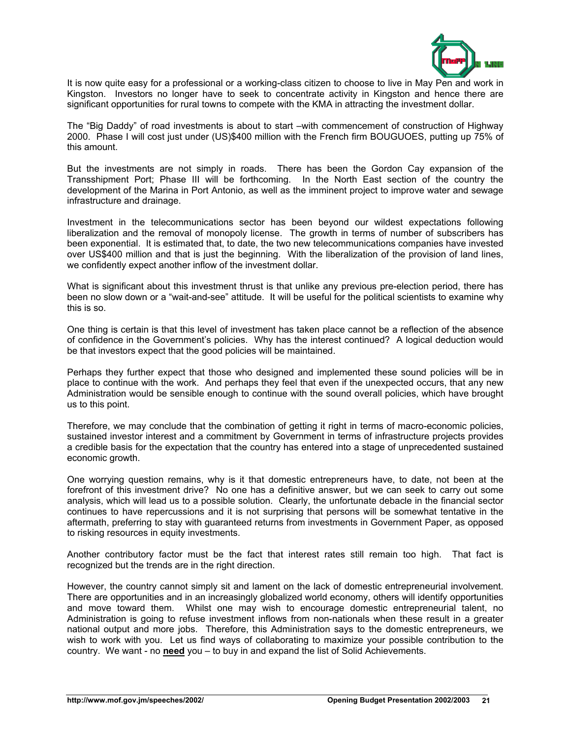

It is now quite easy for a professional or a working-class citizen to choose to live in May Pen and work in Kingston. Investors no longer have to seek to concentrate activity in Kingston and hence there are significant opportunities for rural towns to compete with the KMA in attracting the investment dollar.

The "Big Daddy" of road investments is about to start –with commencement of construction of Highway 2000. Phase I will cost just under (US)\$400 million with the French firm BOUGUOES, putting up 75% of this amount.

But the investments are not simply in roads. There has been the Gordon Cay expansion of the Transshipment Port; Phase III will be forthcoming. In the North East section of the country the development of the Marina in Port Antonio, as well as the imminent project to improve water and sewage infrastructure and drainage.

Investment in the telecommunications sector has been beyond our wildest expectations following liberalization and the removal of monopoly license. The growth in terms of number of subscribers has been exponential. It is estimated that, to date, the two new telecommunications companies have invested over US\$400 million and that is just the beginning. With the liberalization of the provision of land lines, we confidently expect another inflow of the investment dollar.

What is significant about this investment thrust is that unlike any previous pre-election period, there has been no slow down or a "wait-and-see" attitude. It will be useful for the political scientists to examine why this is so.

One thing is certain is that this level of investment has taken place cannot be a reflection of the absence of confidence in the Government's policies. Why has the interest continued? A logical deduction would be that investors expect that the good policies will be maintained.

Perhaps they further expect that those who designed and implemented these sound policies will be in place to continue with the work. And perhaps they feel that even if the unexpected occurs, that any new Administration would be sensible enough to continue with the sound overall policies, which have brought us to this point.

Therefore, we may conclude that the combination of getting it right in terms of macro-economic policies, sustained investor interest and a commitment by Government in terms of infrastructure projects provides a credible basis for the expectation that the country has entered into a stage of unprecedented sustained economic growth.

One worrying question remains, why is it that domestic entrepreneurs have, to date, not been at the forefront of this investment drive? No one has a definitive answer, but we can seek to carry out some analysis, which will lead us to a possible solution. Clearly, the unfortunate debacle in the financial sector continues to have repercussions and it is not surprising that persons will be somewhat tentative in the aftermath, preferring to stay with guaranteed returns from investments in Government Paper, as opposed to risking resources in equity investments.

Another contributory factor must be the fact that interest rates still remain too high. That fact is recognized but the trends are in the right direction.

However, the country cannot simply sit and lament on the lack of domestic entrepreneurial involvement. There are opportunities and in an increasingly globalized world economy, others will identify opportunities and move toward them. Whilst one may wish to encourage domestic entrepreneurial talent, no Administration is going to refuse investment inflows from non-nationals when these result in a greater national output and more jobs. Therefore, this Administration says to the domestic entrepreneurs, we wish to work with you. Let us find ways of collaborating to maximize your possible contribution to the country. We want - no **need** you – to buy in and expand the list of Solid Achievements.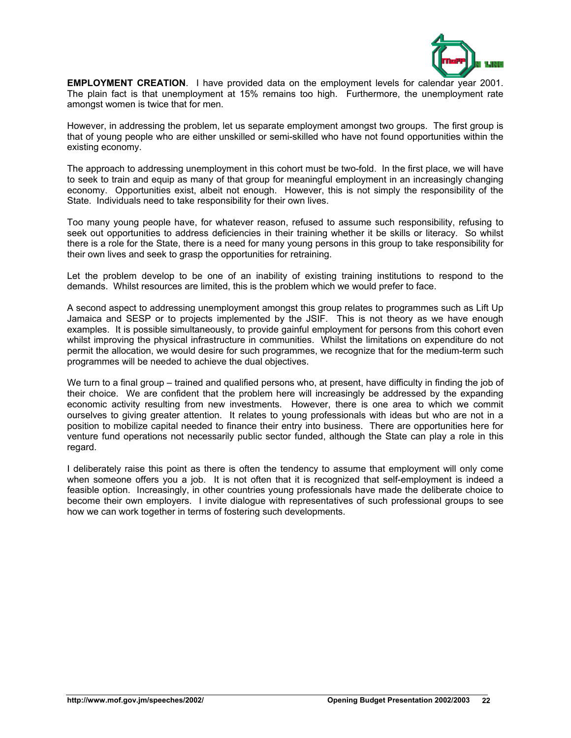

**EMPLOYMENT CREATION**. I have provided data on the employment levels for calendar year 2001. The plain fact is that unemployment at 15% remains too high. Furthermore, the unemployment rate amongst women is twice that for men.

However, in addressing the problem, let us separate employment amongst two groups. The first group is that of young people who are either unskilled or semi-skilled who have not found opportunities within the existing economy.

The approach to addressing unemployment in this cohort must be two-fold. In the first place, we will have to seek to train and equip as many of that group for meaningful employment in an increasingly changing economy. Opportunities exist, albeit not enough. However, this is not simply the responsibility of the State. Individuals need to take responsibility for their own lives.

Too many young people have, for whatever reason, refused to assume such responsibility, refusing to seek out opportunities to address deficiencies in their training whether it be skills or literacy. So whilst there is a role for the State, there is a need for many young persons in this group to take responsibility for their own lives and seek to grasp the opportunities for retraining.

Let the problem develop to be one of an inability of existing training institutions to respond to the demands. Whilst resources are limited, this is the problem which we would prefer to face.

A second aspect to addressing unemployment amongst this group relates to programmes such as Lift Up Jamaica and SESP or to projects implemented by the JSIF. This is not theory as we have enough examples. It is possible simultaneously, to provide gainful employment for persons from this cohort even whilst improving the physical infrastructure in communities. Whilst the limitations on expenditure do not permit the allocation, we would desire for such programmes, we recognize that for the medium-term such programmes will be needed to achieve the dual objectives.

We turn to a final group – trained and qualified persons who, at present, have difficulty in finding the job of their choice. We are confident that the problem here will increasingly be addressed by the expanding economic activity resulting from new investments. However, there is one area to which we commit ourselves to giving greater attention. It relates to young professionals with ideas but who are not in a position to mobilize capital needed to finance their entry into business. There are opportunities here for venture fund operations not necessarily public sector funded, although the State can play a role in this regard.

I deliberately raise this point as there is often the tendency to assume that employment will only come when someone offers you a job. It is not often that it is recognized that self-employment is indeed a feasible option. Increasingly, in other countries young professionals have made the deliberate choice to become their own employers. I invite dialogue with representatives of such professional groups to see how we can work together in terms of fostering such developments.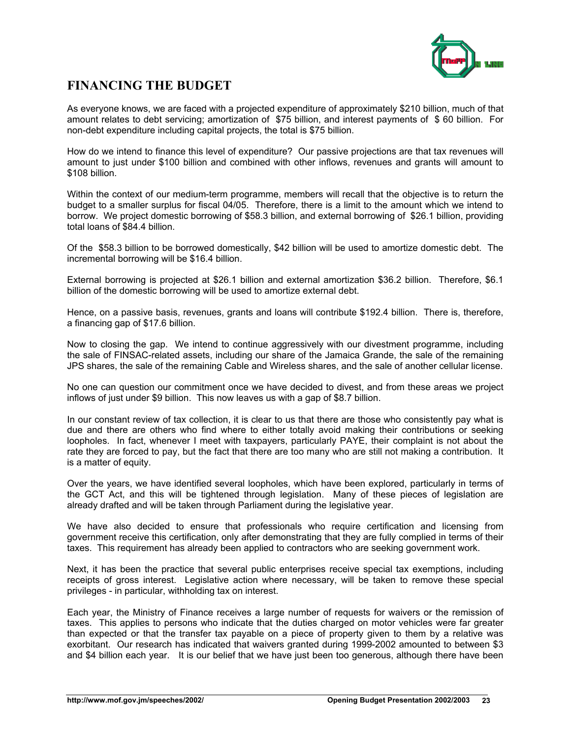

# **FINANCING THE BUDGET**

As everyone knows, we are faced with a projected expenditure of approximately \$210 billion, much of that amount relates to debt servicing; amortization of \$75 billion, and interest payments of \$ 60 billion. For non-debt expenditure including capital projects, the total is \$75 billion.

How do we intend to finance this level of expenditure? Our passive projections are that tax revenues will amount to just under \$100 billion and combined with other inflows, revenues and grants will amount to \$108 billion.

Within the context of our medium-term programme, members will recall that the objective is to return the budget to a smaller surplus for fiscal 04/05. Therefore, there is a limit to the amount which we intend to borrow. We project domestic borrowing of \$58.3 billion, and external borrowing of \$26.1 billion, providing total loans of \$84.4 billion.

Of the \$58.3 billion to be borrowed domestically, \$42 billion will be used to amortize domestic debt. The incremental borrowing will be \$16.4 billion.

External borrowing is projected at \$26.1 billion and external amortization \$36.2 billion. Therefore, \$6.1 billion of the domestic borrowing will be used to amortize external debt.

Hence, on a passive basis, revenues, grants and loans will contribute \$192.4 billion. There is, therefore, a financing gap of \$17.6 billion.

Now to closing the gap. We intend to continue aggressively with our divestment programme, including the sale of FINSAC-related assets, including our share of the Jamaica Grande, the sale of the remaining JPS shares, the sale of the remaining Cable and Wireless shares, and the sale of another cellular license.

No one can question our commitment once we have decided to divest, and from these areas we project inflows of just under \$9 billion. This now leaves us with a gap of \$8.7 billion.

In our constant review of tax collection, it is clear to us that there are those who consistently pay what is due and there are others who find where to either totally avoid making their contributions or seeking loopholes. In fact, whenever I meet with taxpayers, particularly PAYE, their complaint is not about the rate they are forced to pay, but the fact that there are too many who are still not making a contribution. It is a matter of equity.

Over the years, we have identified several loopholes, which have been explored, particularly in terms of the GCT Act, and this will be tightened through legislation. Many of these pieces of legislation are already drafted and will be taken through Parliament during the legislative year.

We have also decided to ensure that professionals who require certification and licensing from government receive this certification, only after demonstrating that they are fully complied in terms of their taxes. This requirement has already been applied to contractors who are seeking government work.

Next, it has been the practice that several public enterprises receive special tax exemptions, including receipts of gross interest. Legislative action where necessary, will be taken to remove these special privileges - in particular, withholding tax on interest.

Each year, the Ministry of Finance receives a large number of requests for waivers or the remission of taxes. This applies to persons who indicate that the duties charged on motor vehicles were far greater than expected or that the transfer tax payable on a piece of property given to them by a relative was exorbitant. Our research has indicated that waivers granted during 1999-2002 amounted to between \$3 and \$4 billion each year. It is our belief that we have just been too generous, although there have been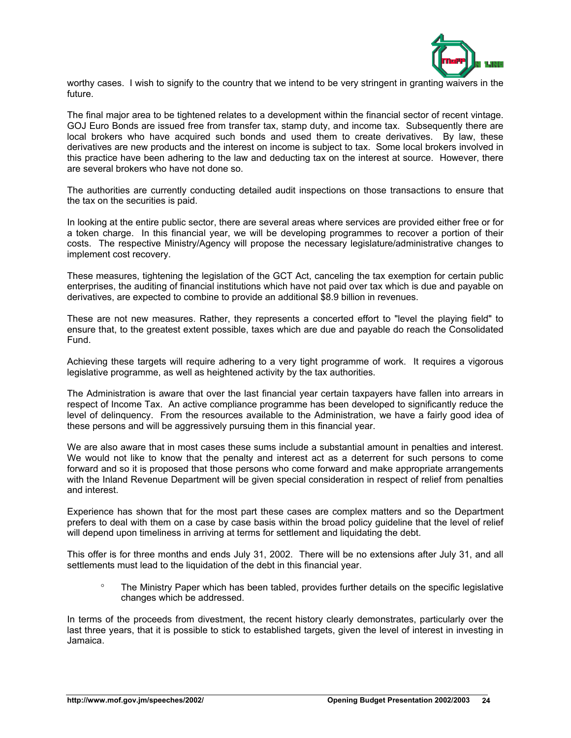

worthy cases. I wish to signify to the country that we intend to be very stringent in granting waivers in the future.

The final major area to be tightened relates to a development within the financial sector of recent vintage. GOJ Euro Bonds are issued free from transfer tax, stamp duty, and income tax. Subsequently there are local brokers who have acquired such bonds and used them to create derivatives. By law, these derivatives are new products and the interest on income is subject to tax. Some local brokers involved in this practice have been adhering to the law and deducting tax on the interest at source. However, there are several brokers who have not done so.

The authorities are currently conducting detailed audit inspections on those transactions to ensure that the tax on the securities is paid.

In looking at the entire public sector, there are several areas where services are provided either free or for a token charge. In this financial year, we will be developing programmes to recover a portion of their costs. The respective Ministry/Agency will propose the necessary legislature/administrative changes to implement cost recovery.

These measures, tightening the legislation of the GCT Act, canceling the tax exemption for certain public enterprises, the auditing of financial institutions which have not paid over tax which is due and payable on derivatives, are expected to combine to provide an additional \$8.9 billion in revenues.

These are not new measures. Rather, they represents a concerted effort to "level the playing field" to ensure that, to the greatest extent possible, taxes which are due and payable do reach the Consolidated Fund.

Achieving these targets will require adhering to a very tight programme of work. It requires a vigorous legislative programme, as well as heightened activity by the tax authorities.

The Administration is aware that over the last financial year certain taxpayers have fallen into arrears in respect of Income Tax. An active compliance programme has been developed to significantly reduce the level of delinquency. From the resources available to the Administration, we have a fairly good idea of these persons and will be aggressively pursuing them in this financial year.

We are also aware that in most cases these sums include a substantial amount in penalties and interest. We would not like to know that the penalty and interest act as a deterrent for such persons to come forward and so it is proposed that those persons who come forward and make appropriate arrangements with the Inland Revenue Department will be given special consideration in respect of relief from penalties and interest.

Experience has shown that for the most part these cases are complex matters and so the Department prefers to deal with them on a case by case basis within the broad policy guideline that the level of relief will depend upon timeliness in arriving at terms for settlement and liquidating the debt.

This offer is for three months and ends July 31, 2002. There will be no extensions after July 31, and all settlements must lead to the liquidation of the debt in this financial year.

° The Ministry Paper which has been tabled, provides further details on the specific legislative changes which be addressed.

In terms of the proceeds from divestment, the recent history clearly demonstrates, particularly over the last three years, that it is possible to stick to established targets, given the level of interest in investing in Jamaica.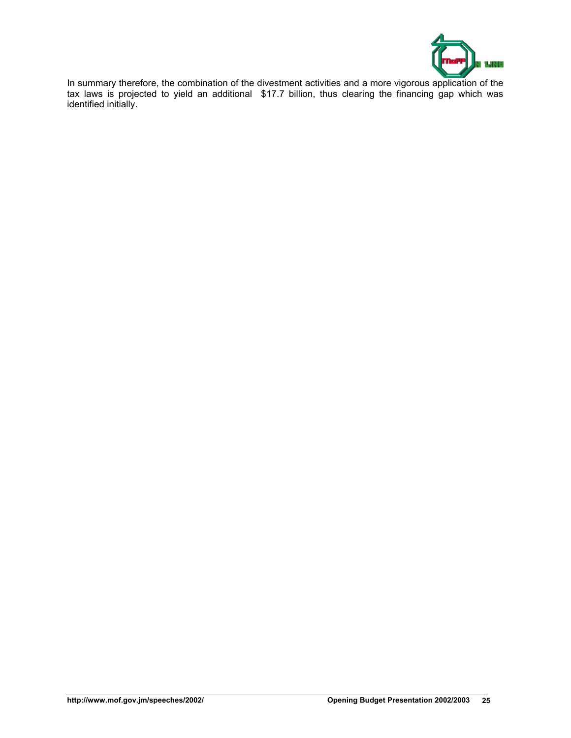

In summary therefore, the combination of the divestment activities and a more vigorous application of the tax laws is projected to yield an additional \$17.7 billion, thus clearing the financing gap which was identified initially.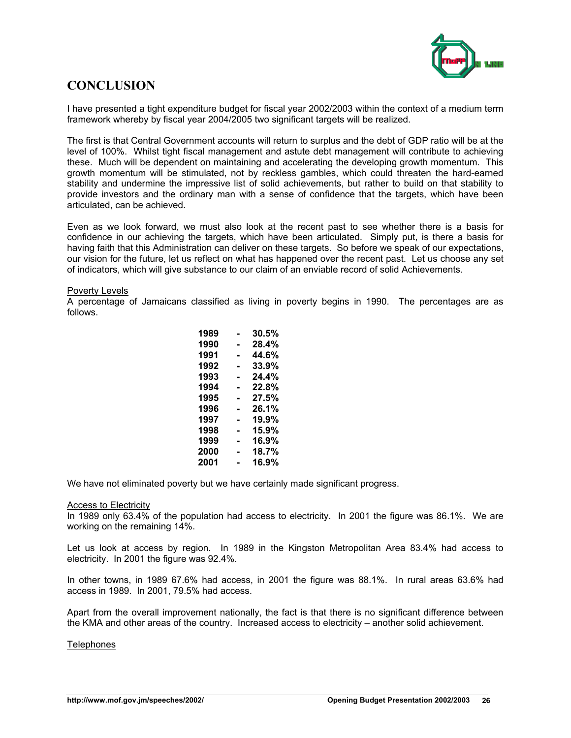

# **CONCLUSION**

I have presented a tight expenditure budget for fiscal year 2002/2003 within the context of a medium term framework whereby by fiscal year 2004/2005 two significant targets will be realized.

The first is that Central Government accounts will return to surplus and the debt of GDP ratio will be at the level of 100%. Whilst tight fiscal management and astute debt management will contribute to achieving these. Much will be dependent on maintaining and accelerating the developing growth momentum. This growth momentum will be stimulated, not by reckless gambles, which could threaten the hard-earned stability and undermine the impressive list of solid achievements, but rather to build on that stability to provide investors and the ordinary man with a sense of confidence that the targets, which have been articulated, can be achieved.

Even as we look forward, we must also look at the recent past to see whether there is a basis for confidence in our achieving the targets, which have been articulated. Simply put, is there a basis for having faith that this Administration can deliver on these targets. So before we speak of our expectations, our vision for the future, let us reflect on what has happened over the recent past. Let us choose any set of indicators, which will give substance to our claim of an enviable record of solid Achievements.

#### Poverty Levels

A percentage of Jamaicans classified as living in poverty begins in 1990. The percentages are as follows.

| 1989 | 30.5% |
|------|-------|
| 1990 | 28.4% |
| 1991 | 44.6% |
| 1992 | 33.9% |
| 1993 | 24.4% |
| 1994 | 22.8% |
| 1995 | 27.5% |
| 1996 | 26.1% |
| 1997 | 19.9% |
| 1998 | 15.9% |
| 1999 | 16.9% |
| 2000 | 18.7% |
| 2001 | 16.9% |

We have not eliminated poverty but we have certainly made significant progress.

#### Access to Electricity

In 1989 only 63.4% of the population had access to electricity. In 2001 the figure was 86.1%. We are working on the remaining 14%.

Let us look at access by region. In 1989 in the Kingston Metropolitan Area 83.4% had access to electricity. In 2001 the figure was 92.4%.

In other towns, in 1989 67.6% had access, in 2001 the figure was 88.1%. In rural areas 63.6% had access in 1989. In 2001, 79.5% had access.

Apart from the overall improvement nationally, the fact is that there is no significant difference between the KMA and other areas of the country. Increased access to electricity – another solid achievement.

#### **Telephones**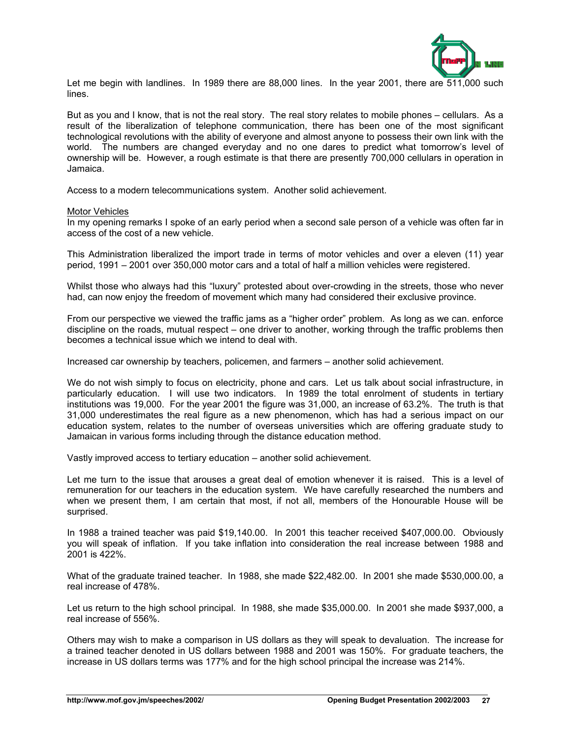

Let me begin with landlines. In 1989 there are 88,000 lines. In the year 2001, there are 511,000 such lines.

But as you and I know, that is not the real story. The real story relates to mobile phones – cellulars. As a result of the liberalization of telephone communication, there has been one of the most significant technological revolutions with the ability of everyone and almost anyone to possess their own link with the world. The numbers are changed everyday and no one dares to predict what tomorrow's level of ownership will be. However, a rough estimate is that there are presently 700,000 cellulars in operation in Jamaica.

Access to a modern telecommunications system. Another solid achievement.

#### Motor Vehicles

In my opening remarks I spoke of an early period when a second sale person of a vehicle was often far in access of the cost of a new vehicle.

This Administration liberalized the import trade in terms of motor vehicles and over a eleven (11) year period, 1991 – 2001 over 350,000 motor cars and a total of half a million vehicles were registered.

Whilst those who always had this "luxury" protested about over-crowding in the streets, those who never had, can now enjoy the freedom of movement which many had considered their exclusive province.

From our perspective we viewed the traffic jams as a "higher order" problem. As long as we can. enforce discipline on the roads, mutual respect – one driver to another, working through the traffic problems then becomes a technical issue which we intend to deal with.

Increased car ownership by teachers, policemen, and farmers – another solid achievement.

We do not wish simply to focus on electricity, phone and cars. Let us talk about social infrastructure, in particularly education. I will use two indicators. In 1989 the total enrolment of students in tertiary institutions was 19,000. For the year 2001 the figure was 31,000, an increase of 63.2%. The truth is that 31,000 underestimates the real figure as a new phenomenon, which has had a serious impact on our education system, relates to the number of overseas universities which are offering graduate study to Jamaican in various forms including through the distance education method.

Vastly improved access to tertiary education – another solid achievement.

Let me turn to the issue that arouses a great deal of emotion whenever it is raised. This is a level of remuneration for our teachers in the education system. We have carefully researched the numbers and when we present them, I am certain that most, if not all, members of the Honourable House will be surprised.

In 1988 a trained teacher was paid \$19,140.00. In 2001 this teacher received \$407,000.00. Obviously you will speak of inflation. If you take inflation into consideration the real increase between 1988 and 2001 is 422%.

What of the graduate trained teacher. In 1988, she made \$22,482.00. In 2001 she made \$530,000.00, a real increase of 478%.

Let us return to the high school principal. In 1988, she made \$35,000.00. In 2001 she made \$937,000, a real increase of 556%.

Others may wish to make a comparison in US dollars as they will speak to devaluation. The increase for a trained teacher denoted in US dollars between 1988 and 2001 was 150%. For graduate teachers, the increase in US dollars terms was 177% and for the high school principal the increase was 214%.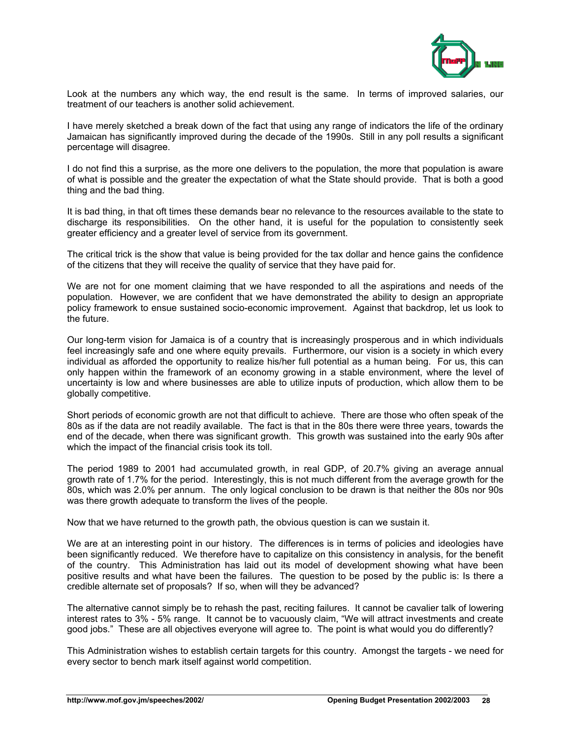

Look at the numbers any which way, the end result is the same. In terms of improved salaries, our treatment of our teachers is another solid achievement.

I have merely sketched a break down of the fact that using any range of indicators the life of the ordinary Jamaican has significantly improved during the decade of the 1990s. Still in any poll results a significant percentage will disagree.

I do not find this a surprise, as the more one delivers to the population, the more that population is aware of what is possible and the greater the expectation of what the State should provide. That is both a good thing and the bad thing.

It is bad thing, in that oft times these demands bear no relevance to the resources available to the state to discharge its responsibilities. On the other hand, it is useful for the population to consistently seek greater efficiency and a greater level of service from its government.

The critical trick is the show that value is being provided for the tax dollar and hence gains the confidence of the citizens that they will receive the quality of service that they have paid for.

We are not for one moment claiming that we have responded to all the aspirations and needs of the population. However, we are confident that we have demonstrated the ability to design an appropriate policy framework to ensue sustained socio-economic improvement. Against that backdrop, let us look to the future.

Our long-term vision for Jamaica is of a country that is increasingly prosperous and in which individuals feel increasingly safe and one where equity prevails. Furthermore, our vision is a society in which every individual as afforded the opportunity to realize his/her full potential as a human being. For us, this can only happen within the framework of an economy growing in a stable environment, where the level of uncertainty is low and where businesses are able to utilize inputs of production, which allow them to be globally competitive.

Short periods of economic growth are not that difficult to achieve. There are those who often speak of the 80s as if the data are not readily available. The fact is that in the 80s there were three years, towards the end of the decade, when there was significant growth. This growth was sustained into the early 90s after which the impact of the financial crisis took its toll.

The period 1989 to 2001 had accumulated growth, in real GDP, of 20.7% giving an average annual growth rate of 1.7% for the period. Interestingly, this is not much different from the average growth for the 80s, which was 2.0% per annum. The only logical conclusion to be drawn is that neither the 80s nor 90s was there growth adequate to transform the lives of the people.

Now that we have returned to the growth path, the obvious question is can we sustain it.

We are at an interesting point in our history. The differences is in terms of policies and ideologies have been significantly reduced. We therefore have to capitalize on this consistency in analysis, for the benefit of the country. This Administration has laid out its model of development showing what have been positive results and what have been the failures. The question to be posed by the public is: Is there a credible alternate set of proposals? If so, when will they be advanced?

The alternative cannot simply be to rehash the past, reciting failures. It cannot be cavalier talk of lowering interest rates to 3% - 5% range. It cannot be to vacuously claim, "We will attract investments and create good jobs." These are all objectives everyone will agree to. The point is what would you do differently?

This Administration wishes to establish certain targets for this country. Amongst the targets - we need for every sector to bench mark itself against world competition.